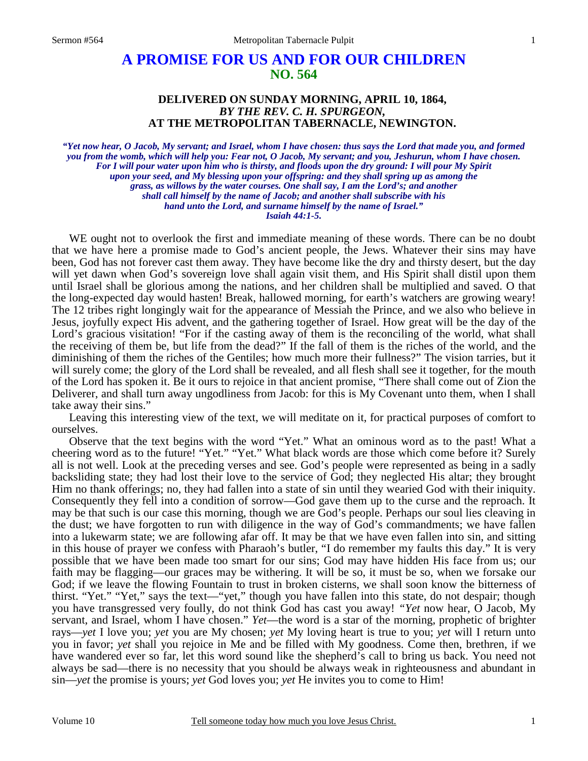## **A PROMISE FOR US AND FOR OUR CHILDREN NO. 564**

## **DELIVERED ON SUNDAY MORNING, APRIL 10, 1864,**  *BY THE REV. C. H. SPURGEON,*  **AT THE METROPOLITAN TABERNACLE, NEWINGTON.**

*"Yet now hear, O Jacob, My servant; and Israel, whom I have chosen: thus says the Lord that made you, and formed you from the womb, which will help you: Fear not, O Jacob, My servant; and you, Jeshurun, whom I have chosen. For I will pour water upon him who is thirsty, and floods upon the dry ground: I will pour My Spirit upon your seed, and My blessing upon your offspring: and they shall spring up as among the grass, as willows by the water courses. One shall say, I am the Lord's; and another shall call himself by the name of Jacob; and another shall subscribe with his hand unto the Lord, and surname himself by the name of Israel." Isaiah 44:1-5.* 

WE ought not to overlook the first and immediate meaning of these words. There can be no doubt that we have here a promise made to God's ancient people, the Jews. Whatever their sins may have been, God has not forever cast them away. They have become like the dry and thirsty desert, but the day will yet dawn when God's sovereign love shall again visit them, and His Spirit shall distil upon them until Israel shall be glorious among the nations, and her children shall be multiplied and saved. O that the long-expected day would hasten! Break, hallowed morning, for earth's watchers are growing weary! The 12 tribes right longingly wait for the appearance of Messiah the Prince, and we also who believe in Jesus, joyfully expect His advent, and the gathering together of Israel. How great will be the day of the Lord's gracious visitation! "For if the casting away of them is the reconciling of the world, what shall the receiving of them be, but life from the dead?" If the fall of them is the riches of the world, and the diminishing of them the riches of the Gentiles; how much more their fullness?" The vision tarries, but it will surely come; the glory of the Lord shall be revealed, and all flesh shall see it together, for the mouth of the Lord has spoken it. Be it ours to rejoice in that ancient promise, "There shall come out of Zion the Deliverer, and shall turn away ungodliness from Jacob: for this is My Covenant unto them, when I shall take away their sins."

Leaving this interesting view of the text, we will meditate on it, for practical purposes of comfort to ourselves.

Observe that the text begins with the word "Yet." What an ominous word as to the past! What a cheering word as to the future! "Yet." "Yet." What black words are those which come before it? Surely all is not well. Look at the preceding verses and see. God's people were represented as being in a sadly backsliding state; they had lost their love to the service of God; they neglected His altar; they brought Him no thank offerings; no, they had fallen into a state of sin until they wearied God with their iniquity. Consequently they fell into a condition of sorrow—God gave them up to the curse and the reproach. It may be that such is our case this morning, though we are God's people. Perhaps our soul lies cleaving in the dust; we have forgotten to run with diligence in the way of God's commandments; we have fallen into a lukewarm state; we are following afar off. It may be that we have even fallen into sin, and sitting in this house of prayer we confess with Pharaoh's butler, "I do remember my faults this day." It is very possible that we have been made too smart for our sins; God may have hidden His face from us; our faith may be flagging—our graces may be withering. It will be so, it must be so, when we forsake our God; if we leave the flowing Fountain to trust in broken cisterns, we shall soon know the bitterness of thirst. "Yet." "Yet," says the text—"yet," though you have fallen into this state, do not despair; though you have transgressed very foully, do not think God has cast you away! *"Yet* now hear, O Jacob, My servant, and Israel, whom I have chosen." *Yet*—the word is a star of the morning, prophetic of brighter rays—*yet* I love you; *yet* you are My chosen; *yet* My loving heart is true to you; *yet* will I return unto you in favor; *yet* shall you rejoice in Me and be filled with My goodness. Come then, brethren, if we have wandered ever so far, let this word sound like the shepherd's call to bring us back. You need not always be sad—there is no necessity that you should be always weak in righteousness and abundant in sin—*yet* the promise is yours; *yet* God loves you; *yet* He invites you to come to Him!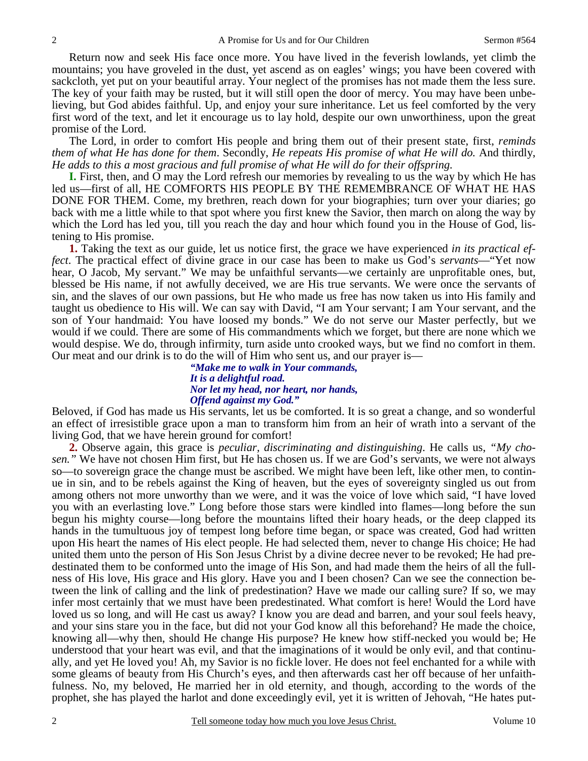Return now and seek His face once more. You have lived in the feverish lowlands, yet climb the mountains; you have groveled in the dust, yet ascend as on eagles' wings; you have been covered with sackcloth, yet put on your beautiful array. Your neglect of the promises has not made them the less sure. The key of your faith may be rusted, but it will still open the door of mercy. You may have been unbelieving, but God abides faithful. Up, and enjoy your sure inheritance. Let us feel comforted by the very first word of the text, and let it encourage us to lay hold, despite our own unworthiness, upon the great promise of the Lord.

The Lord, in order to comfort His people and bring them out of their present state, first, *reminds them of what He has done for them*. Secondly, *He repeats His promise of what He will do.* And thirdly, *He adds to this a most gracious and full promise of what He will do for their offspring.*

**I.** First, then, and O may the Lord refresh our memories by revealing to us the way by which He has led us—first of all, HE COMFORTS HIS PEOPLE BY THE REMEMBRANCE OF WHAT HE HAS DONE FOR THEM. Come, my brethren, reach down for your biographies; turn over your diaries; go back with me a little while to that spot where you first knew the Savior, then march on along the way by which the Lord has led you, till you reach the day and hour which found you in the House of God, listening to His promise.

**1.** Taking the text as our guide, let us notice first, the grace we have experienced *in its practical effect*. The practical effect of divine grace in our case has been to make us God's *servants*—"Yet now hear, O Jacob, My servant." We may be unfaithful servants—we certainly are unprofitable ones, but, blessed be His name, if not awfully deceived, we are His true servants. We were once the servants of sin, and the slaves of our own passions, but He who made us free has now taken us into His family and taught us obedience to His will. We can say with David, "I am Your servant; I am Your servant, and the son of Your handmaid: You have loosed my bonds." We do not serve our Master perfectly, but we would if we could. There are some of His commandments which we forget, but there are none which we would despise. We do, through infirmity, turn aside unto crooked ways, but we find no comfort in them. Our meat and our drink is to do the will of Him who sent us, and our prayer is—

> *"Make me to walk in Your commands, It is a delightful road. Nor let my head, nor heart, nor hands, Offend against my God."*

Beloved, if God has made us His servants, let us be comforted. It is so great a change, and so wonderful an effect of irresistible grace upon a man to transform him from an heir of wrath into a servant of the living God, that we have herein ground for comfort!

**2.** Observe again, this grace is *peculiar, discriminating and distinguishing*. He calls us, *"My chosen."* We have not chosen Him first, but He has chosen us. If we are God's servants, we were not always so—to sovereign grace the change must be ascribed. We might have been left, like other men, to continue in sin, and to be rebels against the King of heaven, but the eyes of sovereignty singled us out from among others not more unworthy than we were, and it was the voice of love which said, "I have loved you with an everlasting love." Long before those stars were kindled into flames—long before the sun begun his mighty course—long before the mountains lifted their hoary heads, or the deep clapped its hands in the tumultuous joy of tempest long before time began, or space was created, God had written upon His heart the names of His elect people. He had selected them, never to change His choice; He had united them unto the person of His Son Jesus Christ by a divine decree never to be revoked; He had predestinated them to be conformed unto the image of His Son, and had made them the heirs of all the fullness of His love, His grace and His glory. Have you and I been chosen? Can we see the connection between the link of calling and the link of predestination? Have we made our calling sure? If so, we may infer most certainly that we must have been predestinated. What comfort is here! Would the Lord have loved us so long, and will He cast us away? I know you are dead and barren, and your soul feels heavy, and your sins stare you in the face, but did not your God know all this beforehand? He made the choice, knowing all—why then, should He change His purpose? He knew how stiff-necked you would be; He understood that your heart was evil, and that the imaginations of it would be only evil, and that continually, and yet He loved you! Ah, my Savior is no fickle lover. He does not feel enchanted for a while with some gleams of beauty from His Church's eyes, and then afterwards cast her off because of her unfaithfulness. No, my beloved, He married her in old eternity, and though, according to the words of the prophet, she has played the harlot and done exceedingly evil, yet it is written of Jehovah, "He hates put-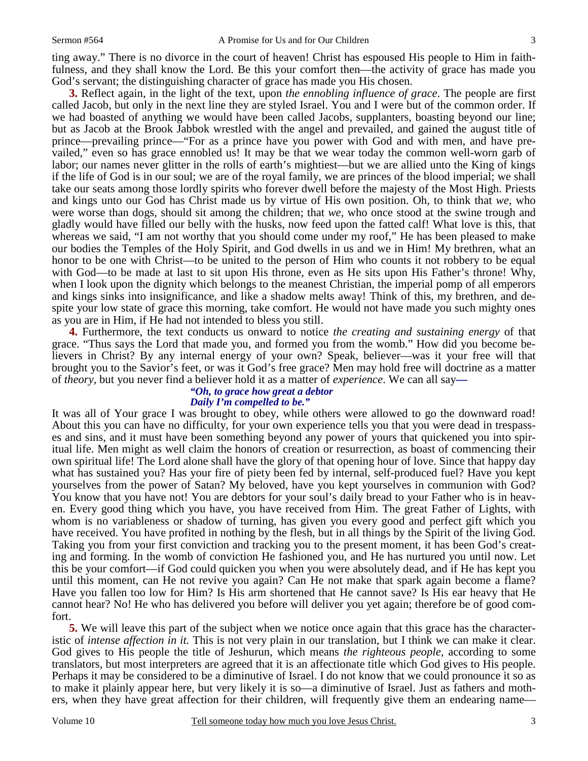ting away." There is no divorce in the court of heaven! Christ has espoused His people to Him in faithfulness, and they shall know the Lord. Be this your comfort then—the activity of grace has made you God's servant; the distinguishing character of grace has made you His chosen.

**3.** Reflect again, in the light of the text, upon *the ennobling influence of grace*. The people are first called Jacob, but only in the next line they are styled Israel. You and I were but of the common order. If we had boasted of anything we would have been called Jacobs, supplanters, boasting beyond our line; but as Jacob at the Brook Jabbok wrestled with the angel and prevailed, and gained the august title of prince—prevailing prince—"For as a prince have you power with God and with men, and have prevailed," even so has grace ennobled us! It may be that we wear today the common well-worn garb of labor; our names never glitter in the rolls of earth's mightiest—but we are allied unto the King of kings if the life of God is in our soul; we are of the royal family, we are princes of the blood imperial; we shall take our seats among those lordly spirits who forever dwell before the majesty of the Most High. Priests and kings unto our God has Christ made us by virtue of His own position. Oh, to think that *we,* who were worse than dogs, should sit among the children; that *we,* who once stood at the swine trough and gladly would have filled our belly with the husks, now feed upon the fatted calf! What love is this, that whereas we said, "I am not worthy that you should come under my roof," He has been pleased to make our bodies the Temples of the Holy Spirit, and God dwells in us and we in Him! My brethren, what an honor to be one with Christ—to be united to the person of Him who counts it not robbery to be equal with God—to be made at last to sit upon His throne, even as He sits upon His Father's throne! Why, when I look upon the dignity which belongs to the meanest Christian, the imperial pomp of all emperors and kings sinks into insignificance, and like a shadow melts away! Think of this, my brethren, and despite your low state of grace this morning, take comfort. He would not have made you such mighty ones as you are in Him, if He had not intended to bless you still.

**4.** Furthermore, the text conducts us onward to notice *the creating and sustaining energy* of that grace. "Thus says the Lord that made you, and formed you from the womb." How did you become believers in Christ? By any internal energy of your own? Speak, believer—was it your free will that brought you to the Savior's feet, or was it God's free grace? Men may hold free will doctrine as a matter of *theory,* but you never find a believer hold it as a matter of *experience*. We can all say*—* 

## *"Oh, to grace how great a debtor Daily I'm compelled to be."*

It was all of Your grace I was brought to obey, while others were allowed to go the downward road! About this you can have no difficulty, for your own experience tells you that you were dead in trespasses and sins, and it must have been something beyond any power of yours that quickened you into spiritual life. Men might as well claim the honors of creation or resurrection, as boast of commencing their own spiritual life! The Lord alone shall have the glory of that opening hour of love. Since that happy day what has sustained you? Has your fire of piety been fed by internal, self-produced fuel? Have you kept yourselves from the power of Satan? My beloved, have you kept yourselves in communion with God? You know that you have not! You are debtors for your soul's daily bread to your Father who is in heaven. Every good thing which you have, you have received from Him. The great Father of Lights, with whom is no variableness or shadow of turning, has given you every good and perfect gift which you have received. You have profited in nothing by the flesh, but in all things by the Spirit of the living God. Taking you from your first conviction and tracking you to the present moment, it has been God's creating and forming. In the womb of conviction He fashioned you, and He has nurtured you until now. Let this be your comfort—if God could quicken you when you were absolutely dead, and if He has kept you until this moment, can He not revive you again? Can He not make that spark again become a flame? Have you fallen too low for Him? Is His arm shortened that He cannot save? Is His ear heavy that He cannot hear? No! He who has delivered you before will deliver you yet again; therefore be of good comfort.

**5.** We will leave this part of the subject when we notice once again that this grace has the characteristic of *intense affection in it.* This is not very plain in our translation, but I think we can make it clear. God gives to His people the title of Jeshurun, which means *the righteous people,* according to some translators, but most interpreters are agreed that it is an affectionate title which God gives to His people. Perhaps it may be considered to be a diminutive of Israel. I do not know that we could pronounce it so as to make it plainly appear here, but very likely it is so—a diminutive of Israel. Just as fathers and mothers, when they have great affection for their children, will frequently give them an endearing name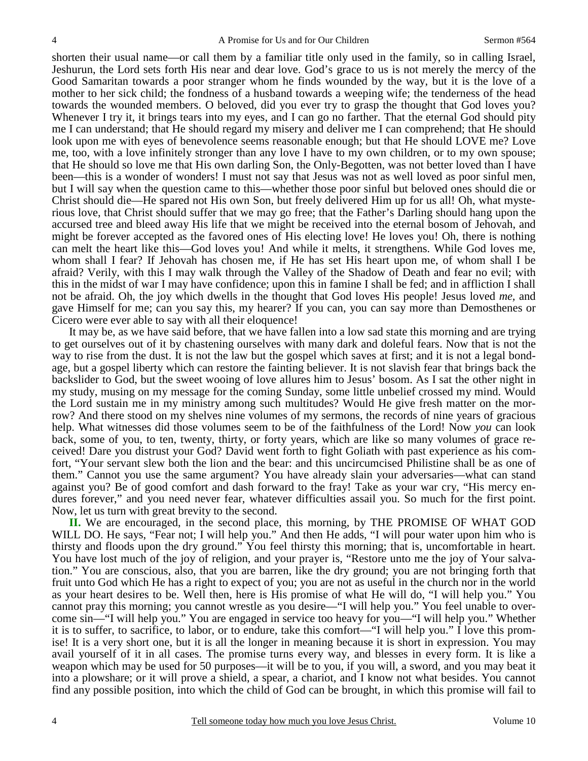shorten their usual name—or call them by a familiar title only used in the family, so in calling Israel, Jeshurun, the Lord sets forth His near and dear love. God's grace to us is not merely the mercy of the Good Samaritan towards a poor stranger whom he finds wounded by the way, but it is the love of a mother to her sick child; the fondness of a husband towards a weeping wife; the tenderness of the head towards the wounded members. O beloved, did you ever try to grasp the thought that God loves you? Whenever I try it, it brings tears into my eyes, and I can go no farther. That the eternal God should pity me I can understand; that He should regard my misery and deliver me I can comprehend; that He should look upon me with eyes of benevolence seems reasonable enough; but that He should LOVE me? Love me, too, with a love infinitely stronger than any love I have to my own children, or to my own spouse; that He should so love me that His own darling Son, the Only-Begotten, was not better loved than I have been—this is a wonder of wonders! I must not say that Jesus was not as well loved as poor sinful men, but I will say when the question came to this—whether those poor sinful but beloved ones should die or Christ should die—He spared not His own Son, but freely delivered Him up for us all! Oh, what mysterious love, that Christ should suffer that we may go free; that the Father's Darling should hang upon the accursed tree and bleed away His life that we might be received into the eternal bosom of Jehovah, and might be forever accepted as the favored ones of His electing love! He loves you! Oh, there is nothing can melt the heart like this—God loves you! And while it melts, it strengthens. While God loves me, whom shall I fear? If Jehovah has chosen me, if He has set His heart upon me, of whom shall I be afraid? Verily, with this I may walk through the Valley of the Shadow of Death and fear no evil; with this in the midst of war I may have confidence; upon this in famine I shall be fed; and in affliction I shall not be afraid. Oh, the joy which dwells in the thought that God loves His people! Jesus loved *me,* and gave Himself for me; can you say this, my hearer? If you can, you can say more than Demosthenes or Cicero were ever able to say with all their eloquence!

It may be, as we have said before, that we have fallen into a low sad state this morning and are trying to get ourselves out of it by chastening ourselves with many dark and doleful fears. Now that is not the way to rise from the dust. It is not the law but the gospel which saves at first; and it is not a legal bondage, but a gospel liberty which can restore the fainting believer. It is not slavish fear that brings back the backslider to God, but the sweet wooing of love allures him to Jesus' bosom. As I sat the other night in my study, musing on my message for the coming Sunday, some little unbelief crossed my mind. Would the Lord sustain me in my ministry among such multitudes? Would He give fresh matter on the morrow? And there stood on my shelves nine volumes of my sermons, the records of nine years of gracious help. What witnesses did those volumes seem to be of the faithfulness of the Lord! Now *you* can look back, some of you, to ten, twenty, thirty, or forty years, which are like so many volumes of grace received! Dare you distrust your God? David went forth to fight Goliath with past experience as his comfort, "Your servant slew both the lion and the bear: and this uncircumcised Philistine shall be as one of them." Cannot you use the same argument? You have already slain your adversaries—what can stand against you? Be of good comfort and dash forward to the fray! Take as your war cry, "His mercy endures forever," and you need never fear, whatever difficulties assail you. So much for the first point. Now, let us turn with great brevity to the second.

**II.** We are encouraged, in the second place, this morning, by THE PROMISE OF WHAT GOD WILL DO. He says, "Fear not; I will help you." And then He adds, "I will pour water upon him who is thirsty and floods upon the dry ground." You feel thirsty this morning; that is, uncomfortable in heart. You have lost much of the joy of religion, and your prayer is, "Restore unto me the joy of Your salvation." You are conscious, also, that you are barren, like the dry ground; you are not bringing forth that fruit unto God which He has a right to expect of you; you are not as useful in the church nor in the world as your heart desires to be. Well then, here is His promise of what He will do, "I will help you." You cannot pray this morning; you cannot wrestle as you desire—"I will help you." You feel unable to overcome sin—"I will help you." You are engaged in service too heavy for you—"I will help you." Whether it is to suffer, to sacrifice, to labor, or to endure, take this comfort—"I will help you." I love this promise! It is a very short one, but it is all the longer in meaning because it is short in expression. You may avail yourself of it in all cases. The promise turns every way, and blesses in every form. It is like a weapon which may be used for 50 purposes—it will be to you, if you will, a sword, and you may beat it into a plowshare; or it will prove a shield, a spear, a chariot, and I know not what besides. You cannot find any possible position, into which the child of God can be brought, in which this promise will fail to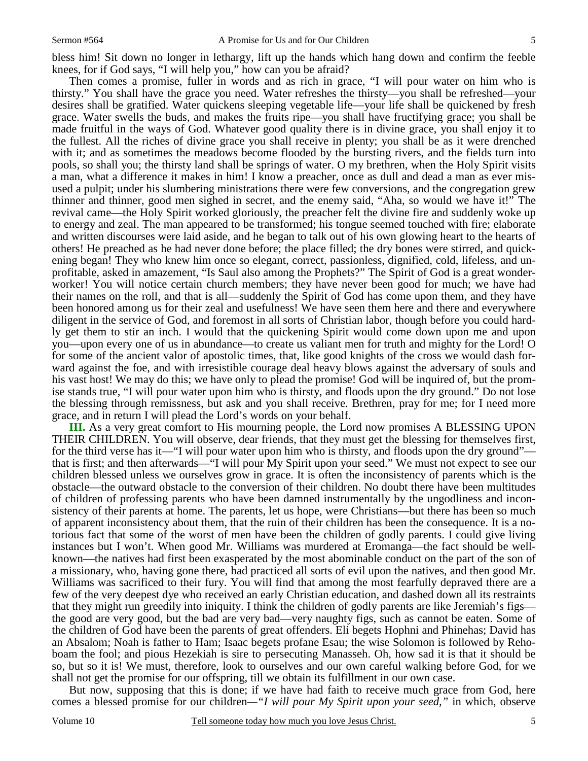bless him! Sit down no longer in lethargy, lift up the hands which hang down and confirm the feeble knees, for if God says, "I will help you," how can you be afraid?

Then comes a promise, fuller in words and as rich in grace, "I will pour water on him who is thirsty." You shall have the grace you need. Water refreshes the thirsty—you shall be refreshed—your desires shall be gratified. Water quickens sleeping vegetable life—your life shall be quickened by fresh grace. Water swells the buds, and makes the fruits ripe—you shall have fructifying grace; you shall be made fruitful in the ways of God. Whatever good quality there is in divine grace, you shall enjoy it to the fullest. All the riches of divine grace you shall receive in plenty; you shall be as it were drenched with it; and as sometimes the meadows become flooded by the bursting rivers, and the fields turn into pools, so shall you; the thirsty land shall be springs of water. O my brethren, when the Holy Spirit visits a man, what a difference it makes in him! I know a preacher, once as dull and dead a man as ever misused a pulpit; under his slumbering ministrations there were few conversions, and the congregation grew thinner and thinner, good men sighed in secret, and the enemy said, "Aha, so would we have it!" The revival came—the Holy Spirit worked gloriously, the preacher felt the divine fire and suddenly woke up to energy and zeal. The man appeared to be transformed; his tongue seemed touched with fire; elaborate and written discourses were laid aside, and he began to talk out of his own glowing heart to the hearts of others! He preached as he had never done before; the place filled; the dry bones were stirred, and quickening began! They who knew him once so elegant, correct, passionless, dignified, cold, lifeless, and unprofitable, asked in amazement, "Is Saul also among the Prophets?" The Spirit of God is a great wonderworker! You will notice certain church members; they have never been good for much; we have had their names on the roll, and that is all—suddenly the Spirit of God has come upon them, and they have been honored among us for their zeal and usefulness! We have seen them here and there and everywhere diligent in the service of God, and foremost in all sorts of Christian labor, though before you could hardly get them to stir an inch. I would that the quickening Spirit would come down upon me and upon you—upon every one of us in abundance—to create us valiant men for truth and mighty for the Lord! O for some of the ancient valor of apostolic times, that, like good knights of the cross we would dash forward against the foe, and with irresistible courage deal heavy blows against the adversary of souls and his vast host! We may do this; we have only to plead the promise! God will be inquired of, but the promise stands true, "I will pour water upon him who is thirsty, and floods upon the dry ground." Do not lose the blessing through remissness, but ask and you shall receive. Brethren, pray for me; for I need more grace, and in return I will plead the Lord's words on your behalf.

**III.** As a very great comfort to His mourning people, the Lord now promises A BLESSING UPON THEIR CHILDREN. You will observe, dear friends, that they must get the blessing for themselves first, for the third verse has it—"I will pour water upon him who is thirsty, and floods upon the dry ground" that is first; and then afterwards—"I will pour My Spirit upon your seed." We must not expect to see our children blessed unless we ourselves grow in grace. It is often the inconsistency of parents which is the obstacle—the outward obstacle to the conversion of their children. No doubt there have been multitudes of children of professing parents who have been damned instrumentally by the ungodliness and inconsistency of their parents at home. The parents, let us hope, were Christians—but there has been so much of apparent inconsistency about them, that the ruin of their children has been the consequence. It is a notorious fact that some of the worst of men have been the children of godly parents. I could give living instances but I won't. When good Mr. Williams was murdered at Eromanga—the fact should be wellknown—the natives had first been exasperated by the most abominable conduct on the part of the son of a missionary, who, having gone there, had practiced all sorts of evil upon the natives, and then good Mr. Williams was sacrificed to their fury. You will find that among the most fearfully depraved there are a few of the very deepest dye who received an early Christian education, and dashed down all its restraints that they might run greedily into iniquity. I think the children of godly parents are like Jeremiah's figs the good are very good, but the bad are very bad—very naughty figs, such as cannot be eaten. Some of the children of God have been the parents of great offenders. Eli begets Hophni and Phinehas; David has an Absalom; Noah is father to Ham; Isaac begets profane Esau; the wise Solomon is followed by Rehoboam the fool; and pious Hezekiah is sire to persecuting Manasseh. Oh, how sad it is that it should be so, but so it is! We must, therefore, look to ourselves and our own careful walking before God, for we shall not get the promise for our offspring, till we obtain its fulfillment in our own case.

But now, supposing that this is done; if we have had faith to receive much grace from God, here comes a blessed promise for our children*—"I will pour My Spirit upon your seed,"* in which, observe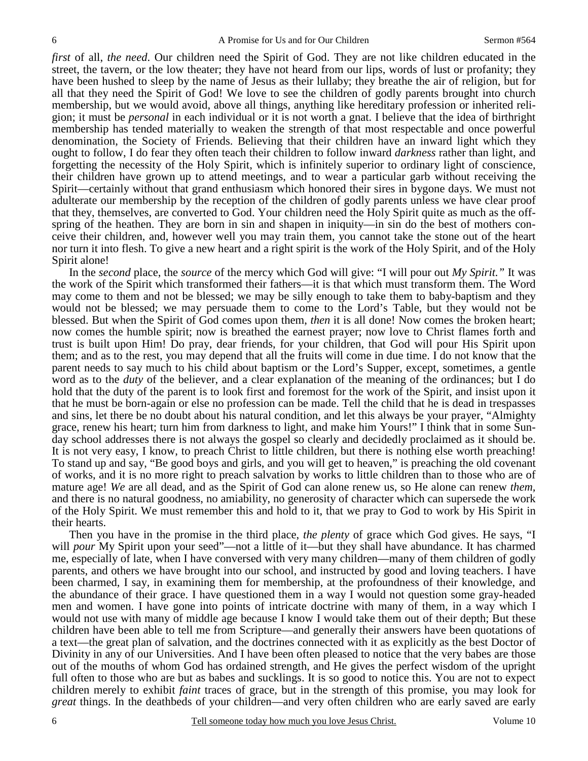*first* of all, *the need*. Our children need the Spirit of God. They are not like children educated in the street, the tavern, or the low theater; they have not heard from our lips, words of lust or profanity; they have been hushed to sleep by the name of Jesus as their lullaby; they breathe the air of religion, but for all that they need the Spirit of God! We love to see the children of godly parents brought into church membership, but we would avoid, above all things, anything like hereditary profession or inherited religion; it must be *personal* in each individual or it is not worth a gnat. I believe that the idea of birthright membership has tended materially to weaken the strength of that most respectable and once powerful denomination, the Society of Friends. Believing that their children have an inward light which they ought to follow, I do fear they often teach their children to follow inward *darkness* rather than light, and forgetting the necessity of the Holy Spirit, which is infinitely superior to ordinary light of conscience, their children have grown up to attend meetings, and to wear a particular garb without receiving the Spirit—certainly without that grand enthusiasm which honored their sires in bygone days. We must not adulterate our membership by the reception of the children of godly parents unless we have clear proof that they, themselves, are converted to God. Your children need the Holy Spirit quite as much as the offspring of the heathen. They are born in sin and shapen in iniquity—in sin do the best of mothers conceive their children, and, however well you may train them, you cannot take the stone out of the heart nor turn it into flesh. To give a new heart and a right spirit is the work of the Holy Spirit, and of the Holy Spirit alone!

In the *second* place, the *source* of the mercy which God will give: "I will pour out *My Spirit."* It was the work of the Spirit which transformed their fathers—it is that which must transform them. The Word may come to them and not be blessed; we may be silly enough to take them to baby-baptism and they would not be blessed; we may persuade them to come to the Lord's Table, but they would not be blessed. But when the Spirit of God comes upon them, *then* it is all done! Now comes the broken heart; now comes the humble spirit; now is breathed the earnest prayer; now love to Christ flames forth and trust is built upon Him! Do pray, dear friends, for your children, that God will pour His Spirit upon them; and as to the rest, you may depend that all the fruits will come in due time. I do not know that the parent needs to say much to his child about baptism or the Lord's Supper, except, sometimes, a gentle word as to the *duty* of the believer, and a clear explanation of the meaning of the ordinances; but I do hold that the duty of the parent is to look first and foremost for the work of the Spirit, and insist upon it that he must be born-again or else no profession can be made. Tell the child that he is dead in trespasses and sins, let there be no doubt about his natural condition, and let this always be your prayer, "Almighty grace, renew his heart; turn him from darkness to light, and make him Yours!" I think that in some Sunday school addresses there is not always the gospel so clearly and decidedly proclaimed as it should be. It is not very easy, I know, to preach Christ to little children, but there is nothing else worth preaching! To stand up and say, "Be good boys and girls, and you will get to heaven," is preaching the old covenant of works, and it is no more right to preach salvation by works to little children than to those who are of mature age! *We* are all dead, and as the Spirit of God can alone renew us, so He alone can renew *them,* and there is no natural goodness, no amiability, no generosity of character which can supersede the work of the Holy Spirit. We must remember this and hold to it, that we pray to God to work by His Spirit in their hearts.

Then you have in the promise in the third place, *the plenty* of grace which God gives. He says, "I will *pour* My Spirit upon your seed"—not a little of it—but they shall have abundance. It has charmed me, especially of late, when I have conversed with very many children—many of them children of godly parents, and others we have brought into our school, and instructed by good and loving teachers. I have been charmed, I say, in examining them for membership, at the profoundness of their knowledge, and the abundance of their grace. I have questioned them in a way I would not question some gray-headed men and women. I have gone into points of intricate doctrine with many of them, in a way which I would not use with many of middle age because I know I would take them out of their depth; But these children have been able to tell me from Scripture—and generally their answers have been quotations of a text—the great plan of salvation, and the doctrines connected with it as explicitly as the best Doctor of Divinity in any of our Universities. And I have been often pleased to notice that the very babes are those out of the mouths of whom God has ordained strength, and He gives the perfect wisdom of the upright full often to those who are but as babes and sucklings. It is so good to notice this. You are not to expect children merely to exhibit *faint* traces of grace, but in the strength of this promise, you may look for *great* things. In the deathbeds of your children—and very often children who are early saved are early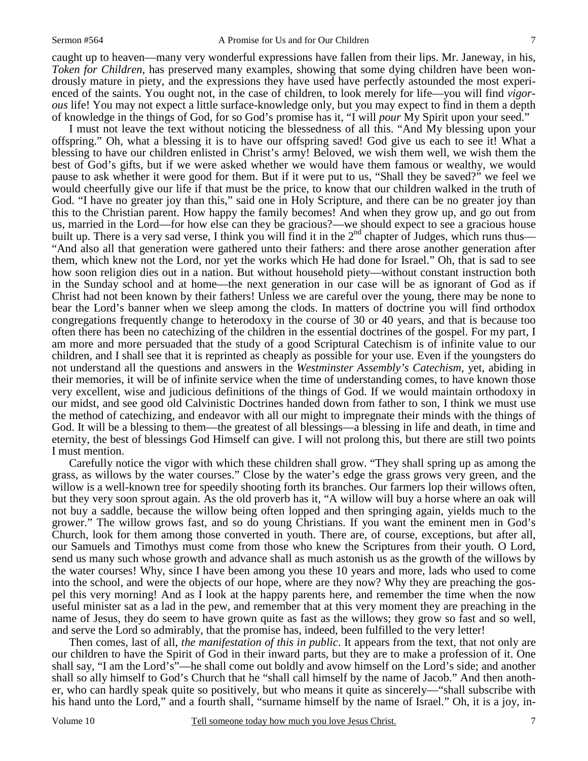caught up to heaven—many very wonderful expressions have fallen from their lips. Mr. Janeway, in his, *Token for Children,* has preserved many examples, showing that some dying children have been wondrously mature in piety, and the expressions they have used have perfectly astounded the most experienced of the saints. You ought not, in the case of children, to look merely for life—you will find *vigorous* life! You may not expect a little surface-knowledge only, but you may expect to find in them a depth of knowledge in the things of God, for so God's promise has it, "I will *pour* My Spirit upon your seed."

I must not leave the text without noticing the blessedness of all this. "And My blessing upon your offspring." Oh, what a blessing it is to have our offspring saved! God give us each to see it! What a blessing to have our children enlisted in Christ's army! Beloved, we wish them well, we wish them the best of God's gifts, but if we were asked whether we would have them famous or wealthy, we would pause to ask whether it were good for them. But if it were put to us, "Shall they be saved?" we feel we would cheerfully give our life if that must be the price, to know that our children walked in the truth of God. "I have no greater joy than this," said one in Holy Scripture, and there can be no greater joy than this to the Christian parent. How happy the family becomes! And when they grow up, and go out from us, married in the Lord—for how else can they be gracious?—we should expect to see a gracious house built up. There is a very sad verse, I think you will find it in the  $2<sup>nd</sup>$  chapter of Judges, which runs thus— "And also all that generation were gathered unto their fathers: and there arose another generation after them, which knew not the Lord, nor yet the works which He had done for Israel." Oh, that is sad to see how soon religion dies out in a nation. But without household piety—without constant instruction both in the Sunday school and at home—the next generation in our case will be as ignorant of God as if Christ had not been known by their fathers! Unless we are careful over the young, there may be none to bear the Lord's banner when we sleep among the clods. In matters of doctrine you will find orthodox congregations frequently change to heterodoxy in the course of 30 or 40 years, and that is because too often there has been no catechizing of the children in the essential doctrines of the gospel. For my part, I am more and more persuaded that the study of a good Scriptural Catechism is of infinite value to our children, and I shall see that it is reprinted as cheaply as possible for your use. Even if the youngsters do not understand all the questions and answers in the *Westminster Assembly's Catechism,* yet, abiding in their memories, it will be of infinite service when the time of understanding comes, to have known those very excellent, wise and judicious definitions of the things of God. If we would maintain orthodoxy in our midst, and see good old Calvinistic Doctrines handed down from father to son, I think we must use the method of catechizing, and endeavor with all our might to impregnate their minds with the things of God. It will be a blessing to them—the greatest of all blessings—a blessing in life and death, in time and eternity, the best of blessings God Himself can give. I will not prolong this, but there are still two points I must mention.

Carefully notice the vigor with which these children shall grow. "They shall spring up as among the grass, as willows by the water courses." Close by the water's edge the grass grows very green, and the willow is a well-known tree for speedily shooting forth its branches. Our farmers lop their willows often, but they very soon sprout again. As the old proverb has it, "A willow will buy a horse where an oak will not buy a saddle, because the willow being often lopped and then springing again, yields much to the grower." The willow grows fast, and so do young Christians. If you want the eminent men in God's Church, look for them among those converted in youth. There are, of course, exceptions, but after all, our Samuels and Timothys must come from those who knew the Scriptures from their youth. O Lord, send us many such whose growth and advance shall as much astonish us as the growth of the willows by the water courses! Why, since I have been among you these 10 years and more, lads who used to come into the school, and were the objects of our hope, where are they now? Why they are preaching the gospel this very morning! And as I look at the happy parents here, and remember the time when the now useful minister sat as a lad in the pew, and remember that at this very moment they are preaching in the name of Jesus, they do seem to have grown quite as fast as the willows; they grow so fast and so well, and serve the Lord so admirably, that the promise has, indeed, been fulfilled to the very letter!

Then comes, last of all, *the manifestation of this in public*. It appears from the text, that not only are our children to have the Spirit of God in their inward parts, but they are to make a profession of it. One shall say, "I am the Lord's"—he shall come out boldly and avow himself on the Lord's side; and another shall so ally himself to God's Church that he "shall call himself by the name of Jacob." And then another, who can hardly speak quite so positively, but who means it quite as sincerely—"shall subscribe with his hand unto the Lord," and a fourth shall, "surname himself by the name of Israel." Oh, it is a joy, in